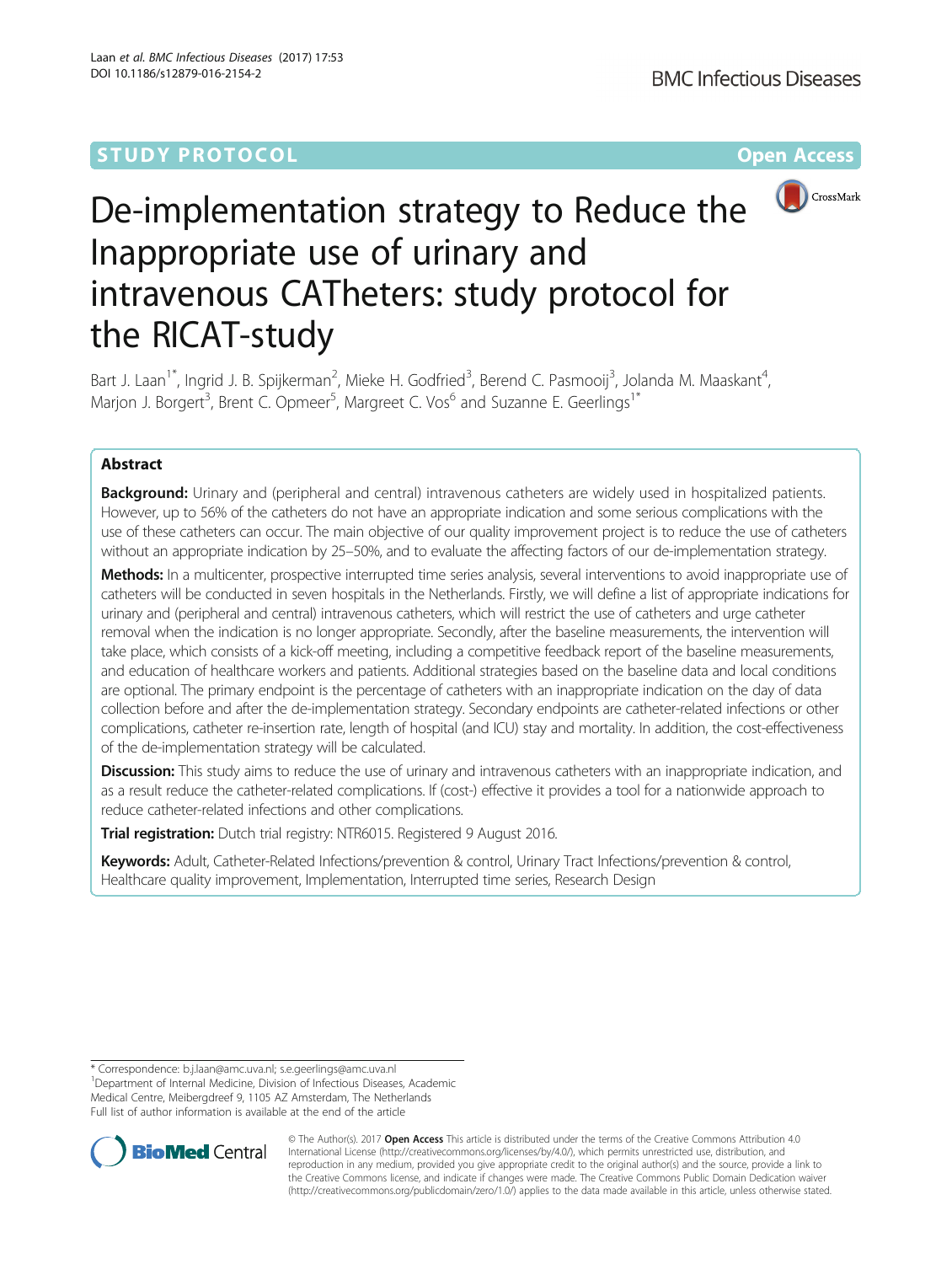# **STUDY PROTOCOL CONSUMING THE RESERVE ACCESS**



# De-implementation strategy to Reduce the Inappropriate use of urinary and intravenous CATheters: study protocol for the RICAT-study

Bart J. Laan<sup>1\*</sup>, Ingrid J. B. Spijkerman<sup>2</sup>, Mieke H. Godfried<sup>3</sup>, Berend C. Pasmooij<sup>3</sup>, Jolanda M. Maaskant<sup>4</sup> , Marjon J. Borgert<sup>3</sup>, Brent C. Opmeer<sup>5</sup>, Margreet C. Vos<sup>6</sup> and Suzanne E. Geerlings<sup>1\*</sup>

# Abstract

Background: Urinary and (peripheral and central) intravenous catheters are widely used in hospitalized patients. However, up to 56% of the catheters do not have an appropriate indication and some serious complications with the use of these catheters can occur. The main objective of our quality improvement project is to reduce the use of catheters without an appropriate indication by 25–50%, and to evaluate the affecting factors of our de-implementation strategy.

Methods: In a multicenter, prospective interrupted time series analysis, several interventions to avoid inappropriate use of catheters will be conducted in seven hospitals in the Netherlands. Firstly, we will define a list of appropriate indications for urinary and (peripheral and central) intravenous catheters, which will restrict the use of catheters and urge catheter removal when the indication is no longer appropriate. Secondly, after the baseline measurements, the intervention will take place, which consists of a kick-off meeting, including a competitive feedback report of the baseline measurements, and education of healthcare workers and patients. Additional strategies based on the baseline data and local conditions are optional. The primary endpoint is the percentage of catheters with an inappropriate indication on the day of data collection before and after the de-implementation strategy. Secondary endpoints are catheter-related infections or other complications, catheter re-insertion rate, length of hospital (and ICU) stay and mortality. In addition, the cost-effectiveness of the de-implementation strategy will be calculated.

Discussion: This study aims to reduce the use of urinary and intravenous catheters with an inappropriate indication, and as a result reduce the catheter-related complications. If (cost-) effective it provides a tool for a nationwide approach to reduce catheter-related infections and other complications.

**Trial registration:** Dutch trial registry: [NTR6015.](http://www.trialregister.nl/trialreg/admin/rctview.asp?TC=6015) Registered 9 August 2016.

Keywords: Adult, Catheter-Related Infections/prevention & control, Urinary Tract Infections/prevention & control, Healthcare quality improvement, Implementation, Interrupted time series, Research Design

<sup>&</sup>lt;sup>1</sup>Department of Internal Medicine, Division of Infectious Diseases, Academic Medical Centre, Meibergdreef 9, 1105 AZ Amsterdam, The Netherlands Full list of author information is available at the end of the article



© The Author(s). 2017 **Open Access** This article is distributed under the terms of the Creative Commons Attribution 4.0 International License [\(http://creativecommons.org/licenses/by/4.0/](http://creativecommons.org/licenses/by/4.0/)), which permits unrestricted use, distribution, and reproduction in any medium, provided you give appropriate credit to the original author(s) and the source, provide a link to the Creative Commons license, and indicate if changes were made. The Creative Commons Public Domain Dedication waiver [\(http://creativecommons.org/publicdomain/zero/1.0/](http://creativecommons.org/publicdomain/zero/1.0/)) applies to the data made available in this article, unless otherwise stated.

<sup>\*</sup> Correspondence: [b.j.laan@amc.uva.nl;](mailto:b.j.laan@amc.uva.nl) [s.e.geerlings@amc.uva.nl](mailto:s.e.geerlings@amc.uva.nl) <sup>1</sup>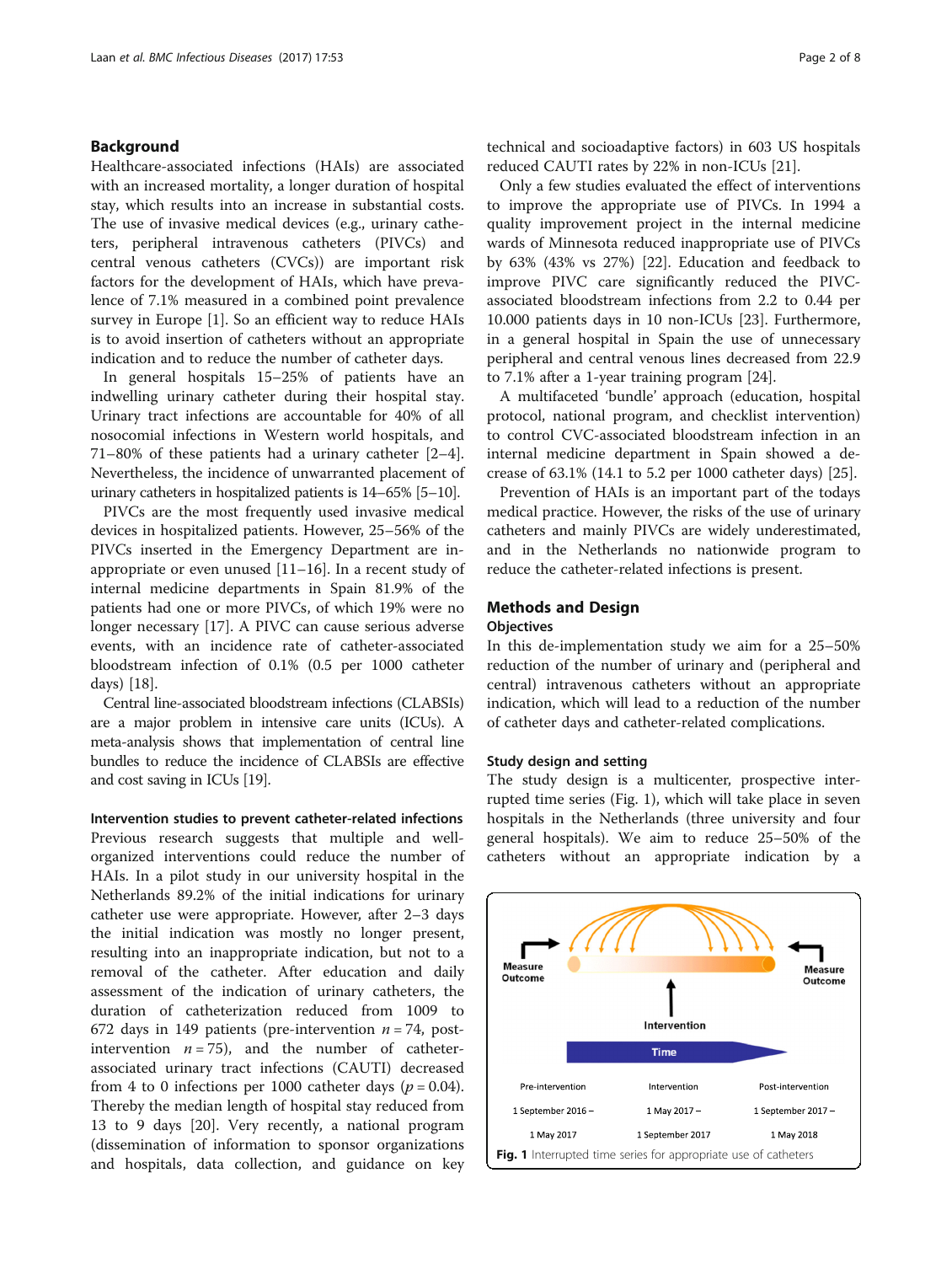#### Background

Healthcare-associated infections (HAIs) are associated with an increased mortality, a longer duration of hospital stay, which results into an increase in substantial costs. The use of invasive medical devices (e.g., urinary catheters, peripheral intravenous catheters (PIVCs) and central venous catheters (CVCs)) are important risk factors for the development of HAIs, which have prevalence of 7.1% measured in a combined point prevalence survey in Europe [[1\]](#page-6-0). So an efficient way to reduce HAIs is to avoid insertion of catheters without an appropriate indication and to reduce the number of catheter days.

In general hospitals 15–25% of patients have an indwelling urinary catheter during their hospital stay. Urinary tract infections are accountable for 40% of all nosocomial infections in Western world hospitals, and 71–80% of these patients had a urinary catheter [\[2](#page-6-0)–[4](#page-6-0)]. Nevertheless, the incidence of unwarranted placement of urinary catheters in hospitalized patients is 14–65% [\[5](#page-6-0)–[10](#page-6-0)].

PIVCs are the most frequently used invasive medical devices in hospitalized patients. However, 25–56% of the PIVCs inserted in the Emergency Department are inappropriate or even unused [[11](#page-6-0)–[16\]](#page-6-0). In a recent study of internal medicine departments in Spain 81.9% of the patients had one or more PIVCs, of which 19% were no longer necessary [\[17\]](#page-6-0). A PIVC can cause serious adverse events, with an incidence rate of catheter-associated bloodstream infection of 0.1% (0.5 per 1000 catheter days) [[18\]](#page-6-0).

Central line-associated bloodstream infections (CLABSIs) are a major problem in intensive care units (ICUs). A meta-analysis shows that implementation of central line bundles to reduce the incidence of CLABSIs are effective and cost saving in ICUs [\[19\]](#page-6-0).

Intervention studies to prevent catheter-related infections Previous research suggests that multiple and wellorganized interventions could reduce the number of HAIs. In a pilot study in our university hospital in the Netherlands 89.2% of the initial indications for urinary catheter use were appropriate. However, after 2–3 days the initial indication was mostly no longer present, resulting into an inappropriate indication, but not to a removal of the catheter. After education and daily assessment of the indication of urinary catheters, the duration of catheterization reduced from 1009 to 672 days in 149 patients (pre-intervention  $n = 74$ , postintervention  $n = 75$ , and the number of catheterassociated urinary tract infections (CAUTI) decreased from 4 to 0 infections per 1000 catheter days ( $p = 0.04$ ). Thereby the median length of hospital stay reduced from 13 to 9 days [\[20](#page-6-0)]. Very recently, a national program (dissemination of information to sponsor organizations and hospitals, data collection, and guidance on key

technical and socioadaptive factors) in 603 US hospitals reduced CAUTI rates by 22% in non-ICUs [[21\]](#page-6-0).

Only a few studies evaluated the effect of interventions to improve the appropriate use of PIVCs. In 1994 a quality improvement project in the internal medicine wards of Minnesota reduced inappropriate use of PIVCs by 63% (43% vs 27%) [[22\]](#page-6-0). Education and feedback to improve PIVC care significantly reduced the PIVCassociated bloodstream infections from 2.2 to 0.44 per 10.000 patients days in 10 non-ICUs [\[23](#page-6-0)]. Furthermore, in a general hospital in Spain the use of unnecessary peripheral and central venous lines decreased from 22.9 to 7.1% after a 1-year training program [[24\]](#page-6-0).

A multifaceted 'bundle' approach (education, hospital protocol, national program, and checklist intervention) to control CVC-associated bloodstream infection in an internal medicine department in Spain showed a decrease of 63.1% (14.1 to 5.2 per 1000 catheter days) [\[25](#page-6-0)].

Prevention of HAIs is an important part of the todays medical practice. However, the risks of the use of urinary catheters and mainly PIVCs are widely underestimated, and in the Netherlands no nationwide program to reduce the catheter-related infections is present.

# Methods and Design

#### **Objectives**

In this de-implementation study we aim for a 25–50% reduction of the number of urinary and (peripheral and central) intravenous catheters without an appropriate indication, which will lead to a reduction of the number of catheter days and catheter-related complications.

#### Study design and setting

The study design is a multicenter, prospective interrupted time series (Fig. 1), which will take place in seven hospitals in the Netherlands (three university and four general hospitals). We aim to reduce 25–50% of the catheters without an appropriate indication by a

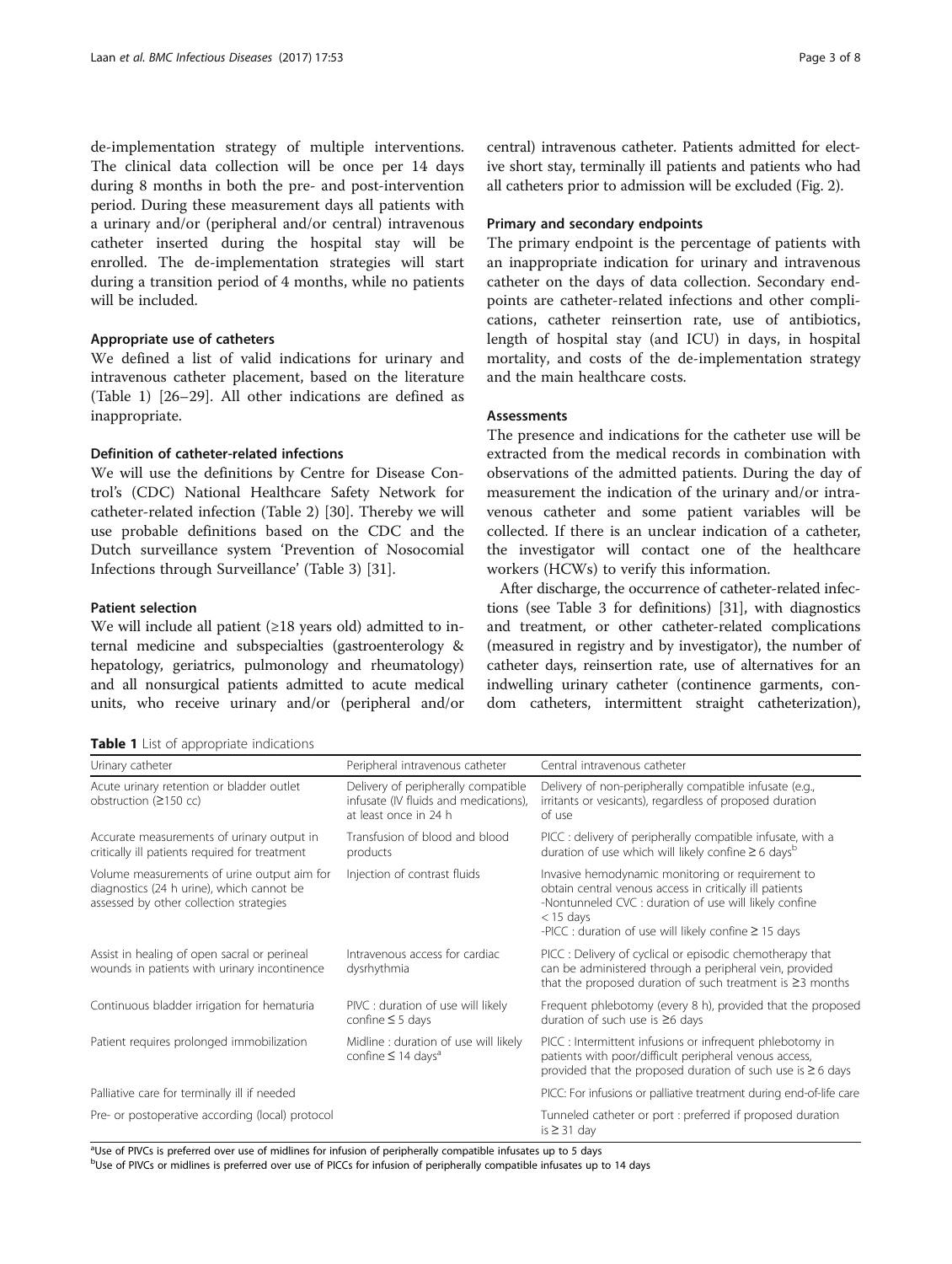<span id="page-2-0"></span>de-implementation strategy of multiple interventions. The clinical data collection will be once per 14 days during 8 months in both the pre- and post-intervention period. During these measurement days all patients with a urinary and/or (peripheral and/or central) intravenous catheter inserted during the hospital stay will be enrolled. The de-implementation strategies will start during a transition period of 4 months, while no patients will be included.

#### Appropriate use of catheters

We defined a list of valid indications for urinary and intravenous catheter placement, based on the literature (Table 1) [[26](#page-6-0)–[29](#page-6-0)]. All other indications are defined as inappropriate.

### Definition of catheter-related infections

We will use the definitions by Centre for Disease Control's (CDC) National Healthcare Safety Network for catheter-related infection (Table [2\)](#page-3-0) [\[30](#page-6-0)]. Thereby we will use probable definitions based on the CDC and the Dutch surveillance system 'Prevention of Nosocomial Infections through Surveillance' (Table [3](#page-4-0)) [[31](#page-6-0)].

#### Patient selection

We will include all patient (≥18 years old) admitted to internal medicine and subspecialties (gastroenterology & hepatology, geriatrics, pulmonology and rheumatology) and all nonsurgical patients admitted to acute medical units, who receive urinary and/or (peripheral and/or

central) intravenous catheter. Patients admitted for elective short stay, terminally ill patients and patients who had all catheters prior to admission will be excluded (Fig. [2\)](#page-4-0).

#### Primary and secondary endpoints

The primary endpoint is the percentage of patients with an inappropriate indication for urinary and intravenous catheter on the days of data collection. Secondary endpoints are catheter-related infections and other complications, catheter reinsertion rate, use of antibiotics, length of hospital stay (and ICU) in days, in hospital mortality, and costs of the de-implementation strategy and the main healthcare costs.

#### Assessments

The presence and indications for the catheter use will be extracted from the medical records in combination with observations of the admitted patients. During the day of measurement the indication of the urinary and/or intravenous catheter and some patient variables will be collected. If there is an unclear indication of a catheter, the investigator will contact one of the healthcare workers (HCWs) to verify this information.

After discharge, the occurrence of catheter-related infections (see Table [3](#page-4-0) for definitions) [[31\]](#page-6-0), with diagnostics and treatment, or other catheter-related complications (measured in registry and by investigator), the number of catheter days, reinsertion rate, use of alternatives for an indwelling urinary catheter (continence garments, condom catheters, intermittent straight catheterization),

| Urinary catheter                                                                                                                    | Peripheral intravenous catheter                                                                       | Central intravenous catheter                                                                                                                                                                                                                        |  |
|-------------------------------------------------------------------------------------------------------------------------------------|-------------------------------------------------------------------------------------------------------|-----------------------------------------------------------------------------------------------------------------------------------------------------------------------------------------------------------------------------------------------------|--|
| Acute urinary retention or bladder outlet<br>obstruction $(≥150$ cc)                                                                | Delivery of peripherally compatible<br>infusate (IV fluids and medications),<br>at least once in 24 h | Delivery of non-peripherally compatible infusate (e.g.,<br>irritants or vesicants), regardless of proposed duration<br>of use                                                                                                                       |  |
| Accurate measurements of urinary output in<br>critically ill patients required for treatment                                        | Transfusion of blood and blood<br>products                                                            | PICC: delivery of peripherally compatible infusate, with a<br>duration of use which will likely confine $\geq 6$ days <sup>b</sup>                                                                                                                  |  |
| Volume measurements of urine output aim for<br>diagnostics (24 h urine), which cannot be<br>assessed by other collection strategies | Injection of contrast fluids                                                                          | Invasive hemodynamic monitoring or requirement to<br>obtain central venous access in critically ill patients<br>-Nontunneled CVC : duration of use will likely confine<br>$<$ 15 days<br>-PICC : duration of use will likely confine $\geq$ 15 days |  |
| Assist in healing of open sacral or perineal<br>wounds in patients with urinary incontinence                                        | Intravenous access for cardiac<br>dysrhythmia                                                         | PICC : Delivery of cyclical or episodic chemotherapy that<br>can be administered through a peripheral vein, provided<br>that the proposed duration of such treatment is $\geq$ 3 months                                                             |  |
| Continuous bladder irrigation for hematuria                                                                                         | PIVC : duration of use will likely<br>confine $\leq$ 5 days                                           | Frequent phlebotomy (every 8 h), provided that the proposed<br>duration of such use is $\geq$ 6 days                                                                                                                                                |  |
| Patient requires prolonged immobilization                                                                                           | Midline: duration of use will likely<br>confine $\leq$ 14 days <sup>a</sup>                           | PICC : Intermittent infusions or infrequent phlebotomy in<br>patients with poor/difficult peripheral venous access,<br>provided that the proposed duration of such use is $\geq 6$ days                                                             |  |
| Palliative care for terminally ill if needed                                                                                        |                                                                                                       | PICC: For infusions or palliative treatment during end-of-life care                                                                                                                                                                                 |  |
| Pre- or postoperative according (local) protocol                                                                                    |                                                                                                       | Tunneled catheter or port : preferred if proposed duration<br>is $\geq$ 31 day                                                                                                                                                                      |  |

<sup>a</sup>Use of PIVCs is preferred over use of midlines for infusion of peripherally compatible infusates up to 5 days

buse of PIVCs or midlines is preferred over use of PICCs for infusion of peripherally compatible infusates up to 14 days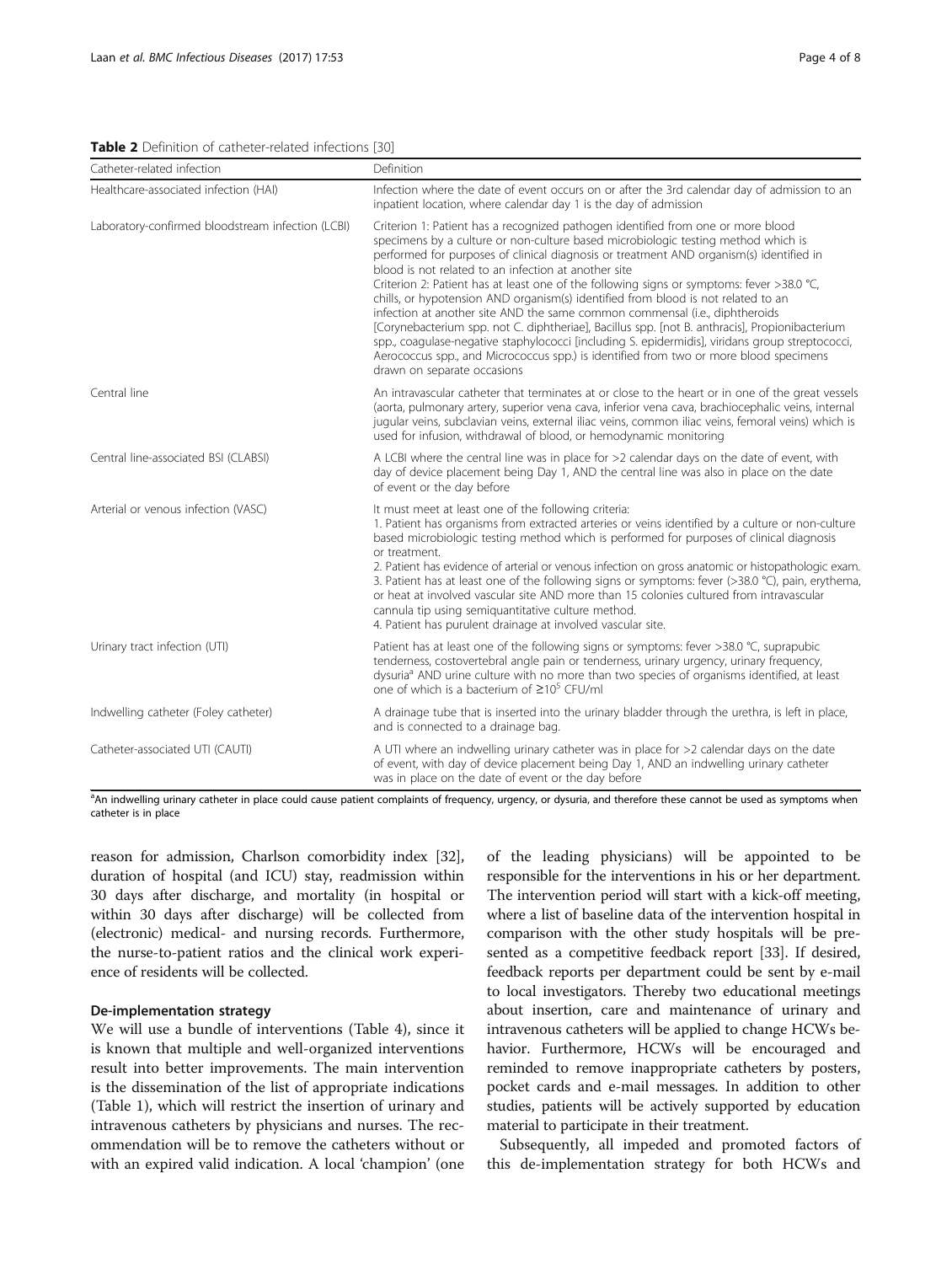<span id="page-3-0"></span>Table 2 Definition of catheter-related infections [[30\]](#page-6-0)

| Catheter-related infection                        | Definition                                                                                                                                                                                                                                                                                                                                                                                                                                                                                                                                                                                                                                                                                                                                                                                                                                                                                                             |
|---------------------------------------------------|------------------------------------------------------------------------------------------------------------------------------------------------------------------------------------------------------------------------------------------------------------------------------------------------------------------------------------------------------------------------------------------------------------------------------------------------------------------------------------------------------------------------------------------------------------------------------------------------------------------------------------------------------------------------------------------------------------------------------------------------------------------------------------------------------------------------------------------------------------------------------------------------------------------------|
| Healthcare-associated infection (HAI)             | Infection where the date of event occurs on or after the 3rd calendar day of admission to an<br>inpatient location, where calendar day 1 is the day of admission                                                                                                                                                                                                                                                                                                                                                                                                                                                                                                                                                                                                                                                                                                                                                       |
| Laboratory-confirmed bloodstream infection (LCBI) | Criterion 1: Patient has a recognized pathogen identified from one or more blood<br>specimens by a culture or non-culture based microbiologic testing method which is<br>performed for purposes of clinical diagnosis or treatment AND organism(s) identified in<br>blood is not related to an infection at another site<br>Criterion 2: Patient has at least one of the following signs or symptoms: fever >38.0 °C,<br>chills, or hypotension AND organism(s) identified from blood is not related to an<br>infection at another site AND the same common commensal (i.e., diphtheroids<br>[Corynebacterium spp. not C. diphtheriae], Bacillus spp. [not B. anthracis], Propionibacterium<br>spp., coagulase-negative staphylococci [including S. epidermidis], viridans group streptococci,<br>Aerococcus spp., and Micrococcus spp.) is identified from two or more blood specimens<br>drawn on separate occasions |
| Central line                                      | An intravascular catheter that terminates at or close to the heart or in one of the great vessels<br>(aorta, pulmonary artery, superior vena cava, inferior vena cava, brachiocephalic veins, internal<br>jugular veins, subclavian veins, external iliac veins, common iliac veins, femoral veins) which is<br>used for infusion, withdrawal of blood, or hemodynamic monitoring                                                                                                                                                                                                                                                                                                                                                                                                                                                                                                                                      |
| Central line-associated BSI (CLABSI)              | A LCBI where the central line was in place for >2 calendar days on the date of event, with<br>day of device placement being Day 1, AND the central line was also in place on the date<br>of event or the day before                                                                                                                                                                                                                                                                                                                                                                                                                                                                                                                                                                                                                                                                                                    |
| Arterial or venous infection (VASC)               | It must meet at least one of the following criteria:<br>1. Patient has organisms from extracted arteries or veins identified by a culture or non-culture<br>based microbiologic testing method which is performed for purposes of clinical diagnosis<br>or treatment.<br>2. Patient has evidence of arterial or venous infection on gross anatomic or histopathologic exam.<br>3. Patient has at least one of the following signs or symptoms: fever (>38.0 °C), pain, erythema,<br>or heat at involved vascular site AND more than 15 colonies cultured from intravascular<br>cannula tip using semiquantitative culture method.<br>4. Patient has purulent drainage at involved vascular site.                                                                                                                                                                                                                       |
| Urinary tract infection (UTI)                     | Patient has at least one of the following signs or symptoms: fever >38.0 °C, suprapubic<br>tenderness, costovertebral angle pain or tenderness, urinary urgency, urinary frequency,<br>dysuria <sup>a</sup> AND urine culture with no more than two species of organisms identified, at least<br>one of which is a bacterium of $\geq 10^5$ CFU/ml                                                                                                                                                                                                                                                                                                                                                                                                                                                                                                                                                                     |
| Indwelling catheter (Foley catheter)              | A drainage tube that is inserted into the urinary bladder through the urethra, is left in place,<br>and is connected to a drainage bag.                                                                                                                                                                                                                                                                                                                                                                                                                                                                                                                                                                                                                                                                                                                                                                                |
| Catheter-associated UTI (CAUTI)                   | A UTI where an indwelling urinary catheter was in place for >2 calendar days on the date<br>of event, with day of device placement being Day 1, AND an indwelling urinary catheter<br>was in place on the date of event or the day before                                                                                                                                                                                                                                                                                                                                                                                                                                                                                                                                                                                                                                                                              |

<sup>a</sup>An indwelling urinary catheter in place could cause patient complaints of frequency, urgency, or dysuria, and therefore these cannot be used as symptoms when catheter is in place

reason for admission, Charlson comorbidity index [[32](#page-7-0)], duration of hospital (and ICU) stay, readmission within 30 days after discharge, and mortality (in hospital or within 30 days after discharge) will be collected from (electronic) medical- and nursing records. Furthermore, the nurse-to-patient ratios and the clinical work experience of residents will be collected.

#### De-implementation strategy

We will use a bundle of interventions (Table [4\)](#page-4-0), since it is known that multiple and well-organized interventions result into better improvements. The main intervention is the dissemination of the list of appropriate indications (Table [1](#page-2-0)), which will restrict the insertion of urinary and intravenous catheters by physicians and nurses. The recommendation will be to remove the catheters without or with an expired valid indication. A local 'champion' (one of the leading physicians) will be appointed to be responsible for the interventions in his or her department. The intervention period will start with a kick-off meeting, where a list of baseline data of the intervention hospital in comparison with the other study hospitals will be presented as a competitive feedback report [\[33](#page-7-0)]. If desired, feedback reports per department could be sent by e-mail to local investigators. Thereby two educational meetings about insertion, care and maintenance of urinary and intravenous catheters will be applied to change HCWs behavior. Furthermore, HCWs will be encouraged and reminded to remove inappropriate catheters by posters, pocket cards and e-mail messages. In addition to other studies, patients will be actively supported by education material to participate in their treatment.

Subsequently, all impeded and promoted factors of this de-implementation strategy for both HCWs and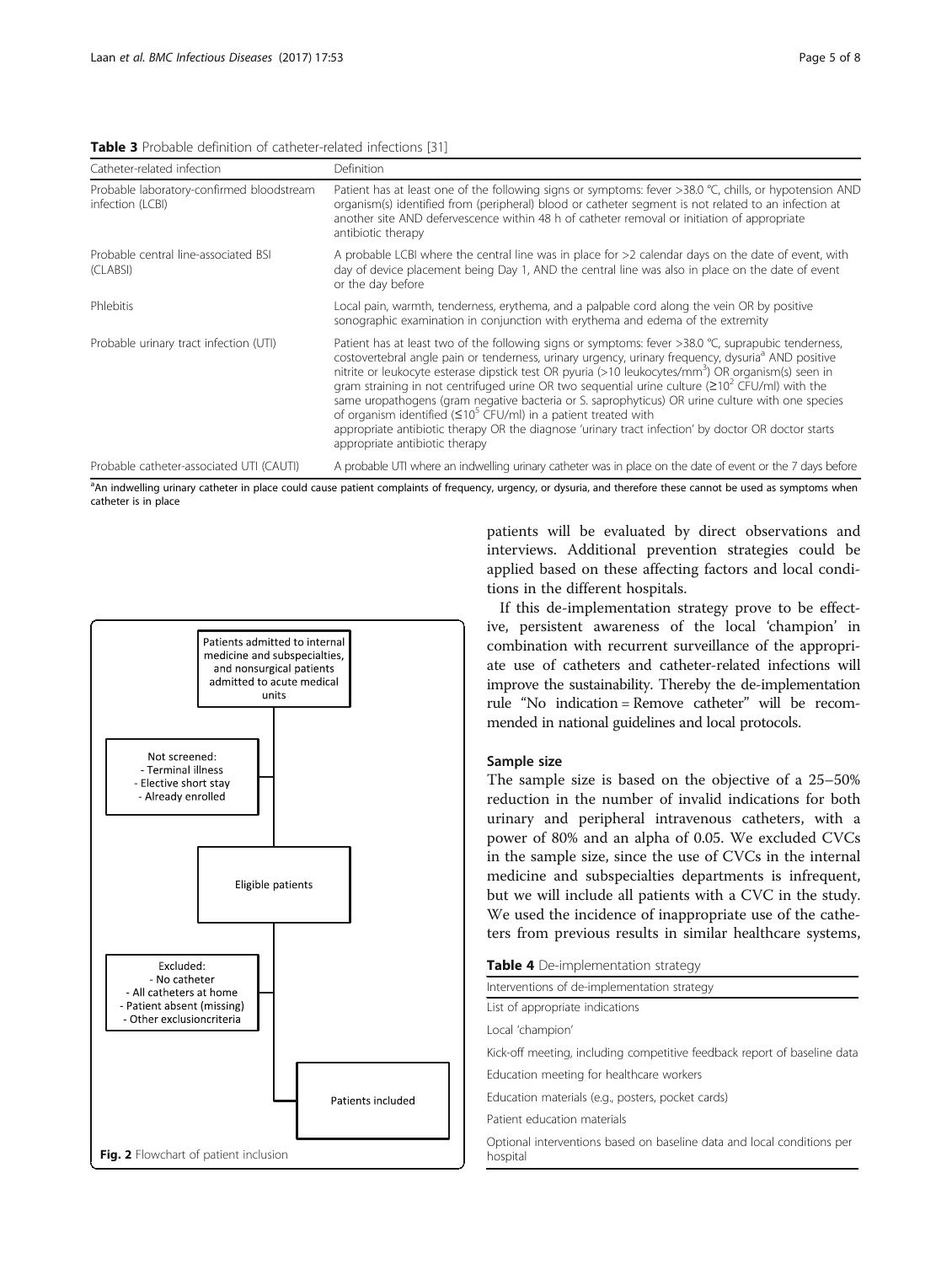<span id="page-4-0"></span>Table 3 Probable definition of catheter-related infections [\[31](#page-6-0)]

| Catheter-related infection                                    | <b>Definition</b>                                                                                                                                                                                                                                                                                                                                                                                                                                                                                                                                                                                                                                                                                                                                                           |
|---------------------------------------------------------------|-----------------------------------------------------------------------------------------------------------------------------------------------------------------------------------------------------------------------------------------------------------------------------------------------------------------------------------------------------------------------------------------------------------------------------------------------------------------------------------------------------------------------------------------------------------------------------------------------------------------------------------------------------------------------------------------------------------------------------------------------------------------------------|
| Probable laboratory-confirmed bloodstream<br>infection (LCBI) | Patient has at least one of the following signs or symptoms: fever $>38.0$ °C, chills, or hypotension AND<br>organism(s) identified from (peripheral) blood or catheter segment is not related to an infection at<br>another site AND defervescence within 48 h of catheter removal or initiation of appropriate<br>antibiotic therapy                                                                                                                                                                                                                                                                                                                                                                                                                                      |
| Probable central line-associated BSL<br>(CLABSI)              | A probable LCBI where the central line was in place for >2 calendar days on the date of event, with<br>day of device placement being Day 1, AND the central line was also in place on the date of event<br>or the day before                                                                                                                                                                                                                                                                                                                                                                                                                                                                                                                                                |
| Phlebitis                                                     | Local pain, warmth, tenderness, erythema, and a palpable cord along the vein OR by positive<br>sonographic examination in conjunction with erythema and edema of the extremity                                                                                                                                                                                                                                                                                                                                                                                                                                                                                                                                                                                              |
| Probable urinary tract infection (UTI)                        | Patient has at least two of the following signs or symptoms: fever >38.0 °C, suprapubic tenderness,<br>costovertebral angle pain or tenderness, urinary urgency, urinary frequency, dysuria <sup>a</sup> AND positive<br>nitrite or leukocyte esterase dipstick test OR pyuria (>10 leukocytes/mm <sup>3</sup> ) OR organism(s) seen in<br>gram straining in not centrifuged urine OR two sequential urine culture $(210^2 \text{ CFU/ml})$ with the<br>same uropathogens (gram negative bacteria or S. saprophyticus) OR urine culture with one species<br>of organism identified ( $\leq 10^5$ CFU/ml) in a patient treated with<br>appropriate antibiotic therapy OR the diagnose 'urinary tract infection' by doctor OR doctor starts<br>appropriate antibiotic therapy |
| Probable catheter-associated UTI (CAUTI)                      | A probable UTI where an indwelling urinary catheter was in place on the date of event or the 7 days before                                                                                                                                                                                                                                                                                                                                                                                                                                                                                                                                                                                                                                                                  |

<sup>a</sup>An indwelling urinary catheter in place could cause patient complaints of frequency, urgency, or dysuria, and therefore these cannot be used as symptoms when catheter is in place



patients will be evaluated by direct observations and interviews. Additional prevention strategies could be applied based on these affecting factors and local conditions in the different hospitals.

If this de-implementation strategy prove to be effective, persistent awareness of the local 'champion' in combination with recurrent surveillance of the appropriate use of catheters and catheter-related infections will improve the sustainability. Thereby the de-implementation rule "No indication = Remove catheter" will be recommended in national guidelines and local protocols.

#### Sample size

The sample size is based on the objective of a 25–50% reduction in the number of invalid indications for both urinary and peripheral intravenous catheters, with a power of 80% and an alpha of 0.05. We excluded CVCs in the sample size, since the use of CVCs in the internal medicine and subspecialties departments is infrequent, but we will include all patients with a CVC in the study. We used the incidence of inappropriate use of the catheters from previous results in similar healthcare systems,

Table 4 De-implementation strategy

| Interventions of de-implementation strategy                                        |  |
|------------------------------------------------------------------------------------|--|
| List of appropriate indications                                                    |  |
| Local 'champion'                                                                   |  |
| Kick-off meeting, including competitive feedback report of baseline data           |  |
| Education meeting for healthcare workers                                           |  |
| Education materials (e.g., posters, pocket cards)                                  |  |
| Patient education materials                                                        |  |
| Optional interventions based on baseline data and local conditions per<br>hospital |  |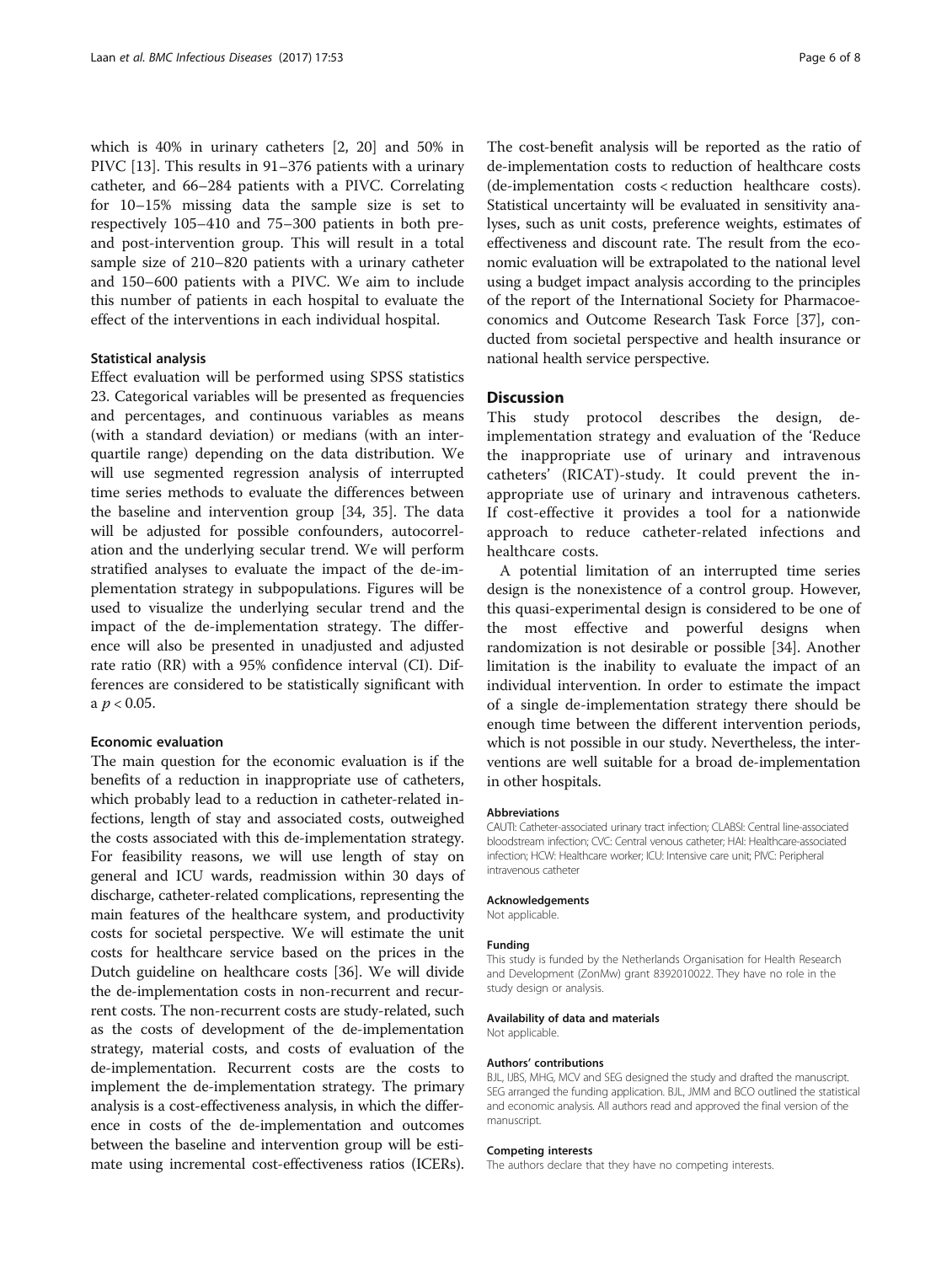which is 40% in urinary catheters [\[2, 20\]](#page-6-0) and 50% in PIVC [[13\]](#page-6-0). This results in 91–376 patients with a urinary catheter, and 66–284 patients with a PIVC. Correlating for 10–15% missing data the sample size is set to respectively 105–410 and 75–300 patients in both preand post-intervention group. This will result in a total sample size of 210–820 patients with a urinary catheter and 150–600 patients with a PIVC. We aim to include this number of patients in each hospital to evaluate the effect of the interventions in each individual hospital.

#### Statistical analysis

Effect evaluation will be performed using SPSS statistics 23. Categorical variables will be presented as frequencies and percentages, and continuous variables as means (with a standard deviation) or medians (with an interquartile range) depending on the data distribution. We will use segmented regression analysis of interrupted time series methods to evaluate the differences between the baseline and intervention group [[34, 35](#page-7-0)]. The data will be adjusted for possible confounders, autocorrelation and the underlying secular trend. We will perform stratified analyses to evaluate the impact of the de-implementation strategy in subpopulations. Figures will be used to visualize the underlying secular trend and the impact of the de-implementation strategy. The difference will also be presented in unadjusted and adjusted rate ratio (RR) with a 95% confidence interval (CI). Differences are considered to be statistically significant with a  $p < 0.05$ .

#### Economic evaluation

The main question for the economic evaluation is if the benefits of a reduction in inappropriate use of catheters, which probably lead to a reduction in catheter-related infections, length of stay and associated costs, outweighed the costs associated with this de-implementation strategy. For feasibility reasons, we will use length of stay on general and ICU wards, readmission within 30 days of discharge, catheter-related complications, representing the main features of the healthcare system, and productivity costs for societal perspective. We will estimate the unit costs for healthcare service based on the prices in the Dutch guideline on healthcare costs [[36](#page-7-0)]. We will divide the de-implementation costs in non-recurrent and recurrent costs. The non-recurrent costs are study-related, such as the costs of development of the de-implementation strategy, material costs, and costs of evaluation of the de-implementation. Recurrent costs are the costs to implement the de-implementation strategy. The primary analysis is a cost-effectiveness analysis, in which the difference in costs of the de-implementation and outcomes between the baseline and intervention group will be estimate using incremental cost-effectiveness ratios (ICERs).

The cost-benefit analysis will be reported as the ratio of de-implementation costs to reduction of healthcare costs (de-implementation costs < reduction healthcare costs). Statistical uncertainty will be evaluated in sensitivity analyses, such as unit costs, preference weights, estimates of effectiveness and discount rate. The result from the economic evaluation will be extrapolated to the national level using a budget impact analysis according to the principles of the report of the International Society for Pharmacoeconomics and Outcome Research Task Force [\[37\]](#page-7-0), conducted from societal perspective and health insurance or national health service perspective.

#### **Discussion**

This study protocol describes the design, deimplementation strategy and evaluation of the 'Reduce the inappropriate use of urinary and intravenous catheters' (RICAT)-study. It could prevent the inappropriate use of urinary and intravenous catheters. If cost-effective it provides a tool for a nationwide approach to reduce catheter-related infections and healthcare costs.

A potential limitation of an interrupted time series design is the nonexistence of a control group. However, this quasi-experimental design is considered to be one of the most effective and powerful designs when randomization is not desirable or possible [[34\]](#page-7-0). Another limitation is the inability to evaluate the impact of an individual intervention. In order to estimate the impact of a single de-implementation strategy there should be enough time between the different intervention periods, which is not possible in our study. Nevertheless, the interventions are well suitable for a broad de-implementation in other hospitals.

#### Abbreviations

CAUTI: Catheter-associated urinary tract infection; CLABSI: Central line-associated bloodstream infection; CVC: Central venous catheter; HAI: Healthcare-associated infection; HCW: Healthcare worker; ICU: Intensive care unit; PIVC: Peripheral intravenous catheter

#### Acknowledgements

Not applicable.

#### Funding

This study is funded by the Netherlands Organisation for Health Research and Development (ZonMw) grant 8392010022. They have no role in the study design or analysis.

#### Availability of data and materials

Not applicable.

#### Authors' contributions

BJL, IJBS, MHG, MCV and SEG designed the study and drafted the manuscript. SEG arranged the funding application. BJL, JMM and BCO outlined the statistical and economic analysis. All authors read and approved the final version of the manuscript.

#### Competing interests

The authors declare that they have no competing interests.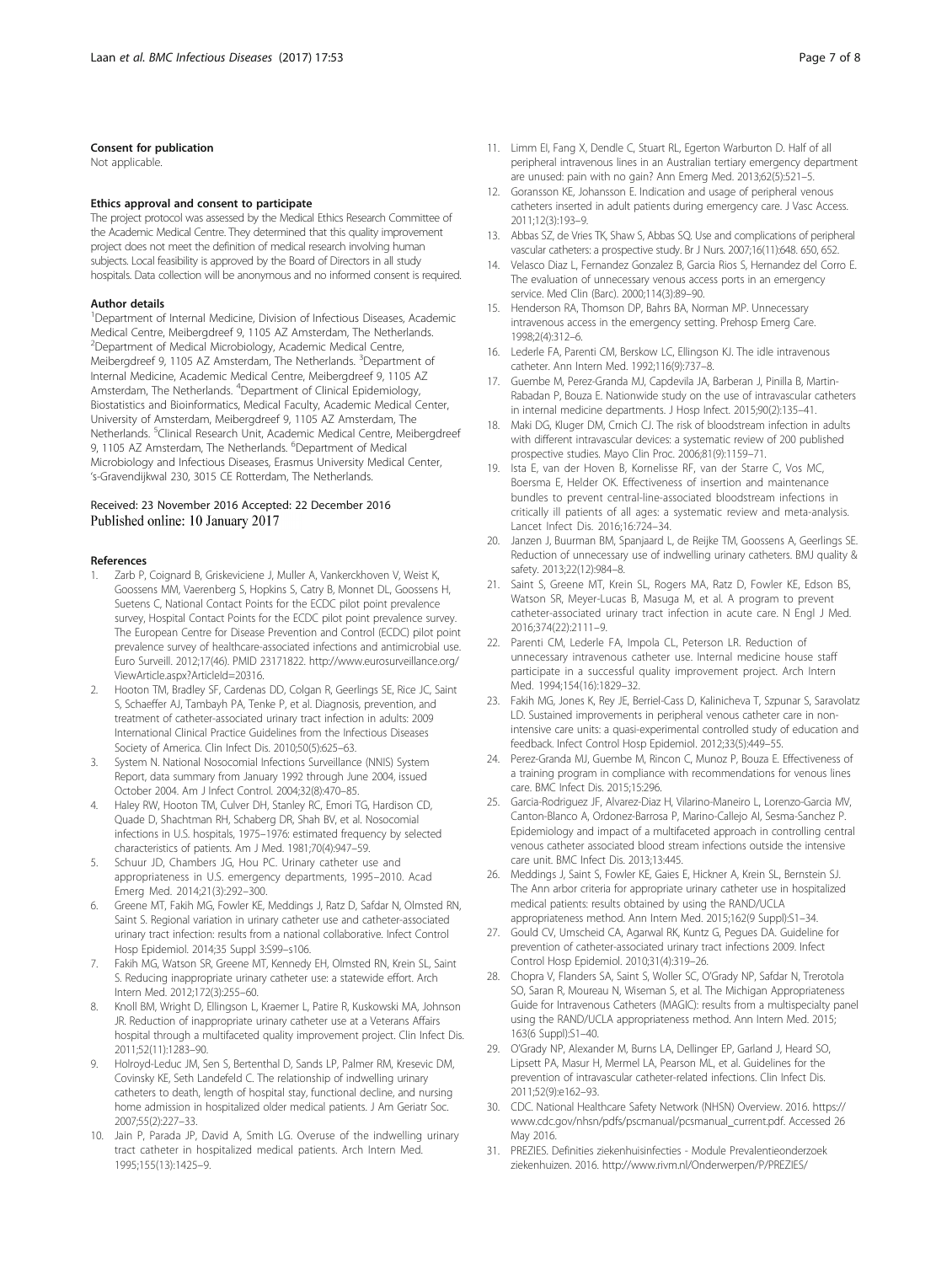#### <span id="page-6-0"></span>Consent for publication

Not applicable.

#### Ethics approval and consent to participate

The project protocol was assessed by the Medical Ethics Research Committee of the Academic Medical Centre. They determined that this quality improvement project does not meet the definition of medical research involving human subjects. Local feasibility is approved by the Board of Directors in all study hospitals. Data collection will be anonymous and no informed consent is required.

#### Author details

<sup>1</sup>Department of Internal Medicine, Division of Infectious Diseases, Academic Medical Centre, Meibergdreef 9, 1105 AZ Amsterdam, The Netherlands. <sup>2</sup>Department of Medical Microbiology, Academic Medical Centre, Meibergdreef 9, 1105 AZ Amsterdam, The Netherlands. <sup>3</sup>Department of Internal Medicine, Academic Medical Centre, Meibergdreef 9, 1105 AZ Amsterdam, The Netherlands. <sup>4</sup> Department of Clinical Epidemiology, Biostatistics and Bioinformatics, Medical Faculty, Academic Medical Center, University of Amsterdam, Meibergdreef 9, 1105 AZ Amsterdam, The Netherlands. <sup>5</sup>Clinical Research Unit, Academic Medical Centre, Meibergdreef 9, 1105 AZ Amsterdam, The Netherlands. <sup>6</sup>Department of Medical Microbiology and Infectious Diseases, Erasmus University Medical Center, 's-Gravendijkwal 230, 3015 CE Rotterdam, The Netherlands.

#### Received: 23 November 2016 Accepted: 22 December 2016 Published online: 10 January 2017

#### References

- 1. Zarb P, Coignard B, Griskeviciene J, Muller A, Vankerckhoven V, Weist K, Goossens MM, Vaerenberg S, Hopkins S, Catry B, Monnet DL, Goossens H, Suetens C, National Contact Points for the ECDC pilot point prevalence survey, Hospital Contact Points for the ECDC pilot point prevalence survey. The European Centre for Disease Prevention and Control (ECDC) pilot point prevalence survey of healthcare-associated infections and antimicrobial use. Euro Surveill. 2012;17(46). PMID 23171822. [http://www.eurosurveillance.org/](http://www.eurosurveillance.org/ViewArticle.aspx?ArticleId=20316) [ViewArticle.aspx?ArticleId=20316](http://www.eurosurveillance.org/ViewArticle.aspx?ArticleId=20316).
- 2. Hooton TM, Bradley SF, Cardenas DD, Colgan R, Geerlings SE, Rice JC, Saint S, Schaeffer AJ, Tambayh PA, Tenke P, et al. Diagnosis, prevention, and treatment of catheter-associated urinary tract infection in adults: 2009 International Clinical Practice Guidelines from the Infectious Diseases Society of America. Clin Infect Dis. 2010;50(5):625–63.
- 3. System N. National Nosocomial Infections Surveillance (NNIS) System Report, data summary from January 1992 through June 2004, issued October 2004. Am J Infect Control. 2004;32(8):470–85.
- 4. Haley RW, Hooton TM, Culver DH, Stanley RC, Emori TG, Hardison CD, Quade D, Shachtman RH, Schaberg DR, Shah BV, et al. Nosocomial infections in U.S. hospitals, 1975–1976: estimated frequency by selected characteristics of patients. Am J Med. 1981;70(4):947–59.
- 5. Schuur JD, Chambers JG, Hou PC. Urinary catheter use and appropriateness in U.S. emergency departments, 1995–2010. Acad Emerg Med. 2014;21(3):292–300.
- 6. Greene MT, Fakih MG, Fowler KE, Meddings J, Ratz D, Safdar N, Olmsted RN, Saint S. Regional variation in urinary catheter use and catheter-associated urinary tract infection: results from a national collaborative. Infect Control Hosp Epidemiol. 2014;35 Suppl 3:S99–s106.
- 7. Fakih MG, Watson SR, Greene MT, Kennedy EH, Olmsted RN, Krein SL, Saint S. Reducing inappropriate urinary catheter use: a statewide effort. Arch Intern Med. 2012;172(3):255–60.
- Knoll BM, Wright D, Ellingson L, Kraemer L, Patire R, Kuskowski MA, Johnson JR. Reduction of inappropriate urinary catheter use at a Veterans Affairs hospital through a multifaceted quality improvement project. Clin Infect Dis. 2011;52(11):1283–90.
- 9. Holroyd-Leduc JM, Sen S, Bertenthal D, Sands LP, Palmer RM, Kresevic DM, Covinsky KE, Seth Landefeld C. The relationship of indwelling urinary catheters to death, length of hospital stay, functional decline, and nursing home admission in hospitalized older medical patients. J Am Geriatr Soc. 2007;55(2):227–33.
- 10. Jain P, Parada JP, David A, Smith LG. Overuse of the indwelling urinary tract catheter in hospitalized medical patients. Arch Intern Med. 1995;155(13):1425–9.
- 11. Limm EI, Fang X, Dendle C, Stuart RL, Egerton Warburton D. Half of all peripheral intravenous lines in an Australian tertiary emergency department are unused: pain with no gain? Ann Emerg Med. 2013;62(5):521–5.
- 12. Goransson KE, Johansson E. Indication and usage of peripheral venous catheters inserted in adult patients during emergency care. J Vasc Access. 2011;12(3):193–9.
- 13. Abbas SZ, de Vries TK, Shaw S, Abbas SQ. Use and complications of peripheral vascular catheters: a prospective study. Br J Nurs. 2007;16(11):648. 650, 652.
- 14. Velasco Diaz L, Fernandez Gonzalez B, Garcia Rios S, Hernandez del Corro E. The evaluation of unnecessary venous access ports in an emergency service. Med Clin (Barc). 2000;114(3):89–90.
- 15. Henderson RA, Thomson DP, Bahrs BA, Norman MP. Unnecessary intravenous access in the emergency setting. Prehosp Emerg Care. 1998;2(4):312–6.
- 16. Lederle FA, Parenti CM, Berskow LC, Ellingson KJ. The idle intravenous catheter. Ann Intern Med. 1992;116(9):737–8.
- 17. Guembe M, Perez-Granda MJ, Capdevila JA, Barberan J, Pinilla B, Martin-Rabadan P, Bouza E. Nationwide study on the use of intravascular catheters in internal medicine departments. J Hosp Infect. 2015;90(2):135–41.
- 18. Maki DG, Kluger DM, Crnich CJ. The risk of bloodstream infection in adults with different intravascular devices: a systematic review of 200 published prospective studies. Mayo Clin Proc. 2006;81(9):1159–71.
- 19. Ista E, van der Hoven B, Kornelisse RF, van der Starre C, Vos MC, Boersma E, Helder OK. Effectiveness of insertion and maintenance bundles to prevent central-line-associated bloodstream infections in critically ill patients of all ages: a systematic review and meta-analysis. Lancet Infect Dis. 2016;16:724–34.
- 20. Janzen J, Buurman BM, Spanjaard L, de Reijke TM, Goossens A, Geerlings SE. Reduction of unnecessary use of indwelling urinary catheters. BMJ quality & safety. 2013;22(12):984–8.
- 21. Saint S, Greene MT, Krein SL, Rogers MA, Ratz D, Fowler KE, Edson BS, Watson SR, Meyer-Lucas B, Masuga M, et al. A program to prevent catheter-associated urinary tract infection in acute care. N Engl J Med. 2016;374(22):2111–9.
- 22. Parenti CM, Lederle FA, Impola CL, Peterson LR. Reduction of unnecessary intravenous catheter use. Internal medicine house staff participate in a successful quality improvement project. Arch Intern Med. 1994;154(16):1829–32.
- 23. Fakih MG, Jones K, Rey JE, Berriel-Cass D, Kalinicheva T, Szpunar S, Saravolatz LD. Sustained improvements in peripheral venous catheter care in nonintensive care units: a quasi-experimental controlled study of education and feedback. Infect Control Hosp Epidemiol. 2012;33(5):449–55.
- 24. Perez-Granda MJ, Guembe M, Rincon C, Munoz P, Bouza E. Effectiveness of a training program in compliance with recommendations for venous lines care. BMC Infect Dis. 2015;15:296.
- 25. Garcia-Rodriguez JF, Alvarez-Diaz H, Vilarino-Maneiro L, Lorenzo-Garcia MV, Canton-Blanco A, Ordonez-Barrosa P, Marino-Callejo AI, Sesma-Sanchez P. Epidemiology and impact of a multifaceted approach in controlling central venous catheter associated blood stream infections outside the intensive care unit. BMC Infect Dis. 2013;13:445.
- 26. Meddings J, Saint S, Fowler KE, Gaies E, Hickner A, Krein SL, Bernstein SJ. The Ann arbor criteria for appropriate urinary catheter use in hospitalized medical patients: results obtained by using the RAND/UCLA appropriateness method. Ann Intern Med. 2015;162(9 Suppl):S1–34.
- 27. Gould CV, Umscheid CA, Agarwal RK, Kuntz G, Pegues DA. Guideline for prevention of catheter-associated urinary tract infections 2009. Infect Control Hosp Epidemiol. 2010;31(4):319–26.
- 28. Chopra V, Flanders SA, Saint S, Woller SC, O'Grady NP, Safdar N, Trerotola SO, Saran R, Moureau N, Wiseman S, et al. The Michigan Appropriateness Guide for Intravenous Catheters (MAGIC): results from a multispecialty panel using the RAND/UCLA appropriateness method. Ann Intern Med. 2015; 163(6 Suppl):S1–40.
- 29. O'Grady NP, Alexander M, Burns LA, Dellinger EP, Garland J, Heard SO, Lipsett PA, Masur H, Mermel LA, Pearson ML, et al. Guidelines for the prevention of intravascular catheter-related infections. Clin Infect Dis. 2011;52(9):e162–93.
- 30. CDC. National Healthcare Safety Network (NHSN) Overview. 2016. [https://](https://www.cdc.gov/nhsn/pdfs/pscmanual/pcsmanual_current.pdf) [www.cdc.gov/nhsn/pdfs/pscmanual/pcsmanual\\_current.pdf](https://www.cdc.gov/nhsn/pdfs/pscmanual/pcsmanual_current.pdf). Accessed 26 May 2016.
- 31. PREZIES. Definities ziekenhuisinfecties Module Prevalentieonderzoek ziekenhuizen. 2016. [http://www.rivm.nl/Onderwerpen/P/PREZIES/](http://www.rivm.nl/Onderwerpen/P/PREZIES/Prevalentieonderzoek_Ziekenhuizen/Protocol_Prevalentieonderzoek_Ziekenhuizen/Prevalentieonderzoek_Bijlage_2_definities_2016.org)